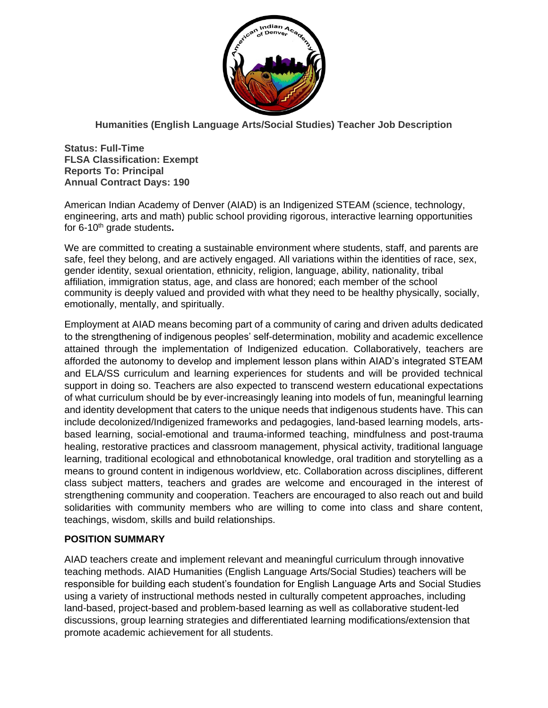

**Humanities (English Language Arts/Social Studies) Teacher Job Description**

**Status: Full-Time FLSA Classification: Exempt Reports To: Principal Annual Contract Days: 190**

American Indian Academy of Denver (AIAD) is an Indigenized STEAM (science, technology, engineering, arts and math) public school providing rigorous, interactive learning opportunities for 6-10th grade students**.** 

We are committed to creating a sustainable environment where students, staff, and parents are safe, feel they belong, and are actively engaged. All variations within the identities of race, sex, gender identity, sexual orientation, ethnicity, religion, language, ability, nationality, tribal affiliation, immigration status, age, and class are honored; each member of the school community is deeply valued and provided with what they need to be healthy physically, socially, emotionally, mentally, and spiritually.

Employment at AIAD means becoming part of a community of caring and driven adults dedicated to the strengthening of indigenous peoples' self-determination, mobility and academic excellence attained through the implementation of Indigenized education. Collaboratively, teachers are afforded the autonomy to develop and implement lesson plans within AIAD's integrated STEAM and ELA/SS curriculum and learning experiences for students and will be provided technical support in doing so. Teachers are also expected to transcend western educational expectations of what curriculum should be by ever-increasingly leaning into models of fun, meaningful learning and identity development that caters to the unique needs that indigenous students have. This can include decolonized/Indigenized frameworks and pedagogies, land-based learning models, artsbased learning, social-emotional and trauma-informed teaching, mindfulness and post-trauma healing, restorative practices and classroom management, physical activity, traditional language learning, traditional ecological and ethnobotanical knowledge, oral tradition and storytelling as a means to ground content in indigenous worldview, etc. Collaboration across disciplines, different class subject matters, teachers and grades are welcome and encouraged in the interest of strengthening community and cooperation. Teachers are encouraged to also reach out and build solidarities with community members who are willing to come into class and share content, teachings, wisdom, skills and build relationships.

## **POSITION SUMMARY**

AIAD teachers create and implement relevant and meaningful curriculum through innovative teaching methods. AIAD Humanities (English Language Arts/Social Studies) teachers will be responsible for building each student's foundation for English Language Arts and Social Studies using a variety of instructional methods nested in culturally competent approaches, including land-based, project-based and problem-based learning as well as collaborative student-led discussions, group learning strategies and differentiated learning modifications/extension that promote academic achievement for all students.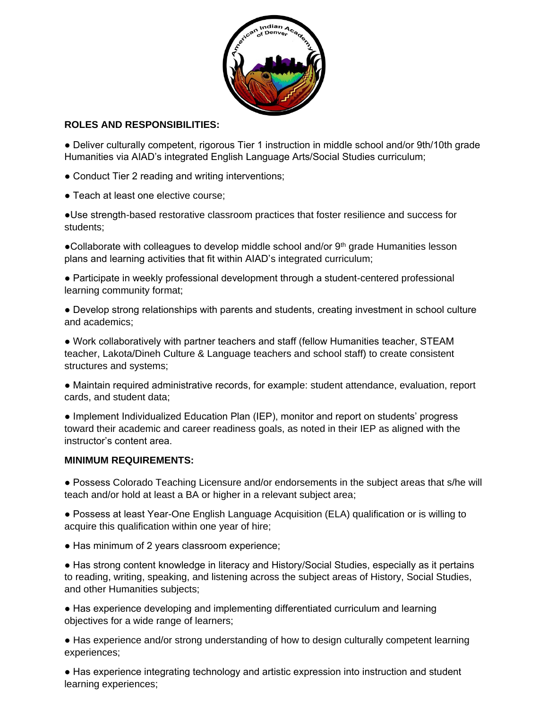

### **ROLES AND RESPONSIBILITIES:**

● Deliver culturally competent, rigorous Tier 1 instruction in middle school and/or 9th/10th grade Humanities via AIAD's integrated English Language Arts/Social Studies curriculum;

• Conduct Tier 2 reading and writing interventions;

• Teach at least one elective course:

●Use strength-based restorative classroom practices that foster resilience and success for students;

●Collaborate with colleagues to develop middle school and/or 9<sup>th</sup> grade Humanities lesson plans and learning activities that fit within AIAD's integrated curriculum;

● Participate in weekly professional development through a student-centered professional learning community format;

● Develop strong relationships with parents and students, creating investment in school culture and academics;

● Work collaboratively with partner teachers and staff (fellow Humanities teacher, STEAM teacher, Lakota/Dineh Culture & Language teachers and school staff) to create consistent structures and systems;

● Maintain required administrative records, for example: student attendance, evaluation, report cards, and student data;

● Implement Individualized Education Plan (IEP), monitor and report on students' progress toward their academic and career readiness goals, as noted in their IEP as aligned with the instructor's content area.

#### **MINIMUM REQUIREMENTS:**

● Possess Colorado Teaching Licensure and/or endorsements in the subject areas that s/he will teach and/or hold at least a BA or higher in a relevant subject area;

● Possess at least Year-One English Language Acquisition (ELA) qualification or is willing to acquire this qualification within one year of hire;

• Has minimum of 2 years classroom experience;

● Has strong content knowledge in literacy and History/Social Studies, especially as it pertains to reading, writing, speaking, and listening across the subject areas of History, Social Studies, and other Humanities subjects;

● Has experience developing and implementing differentiated curriculum and learning objectives for a wide range of learners;

• Has experience and/or strong understanding of how to design culturally competent learning experiences;

● Has experience integrating technology and artistic expression into instruction and student learning experiences;